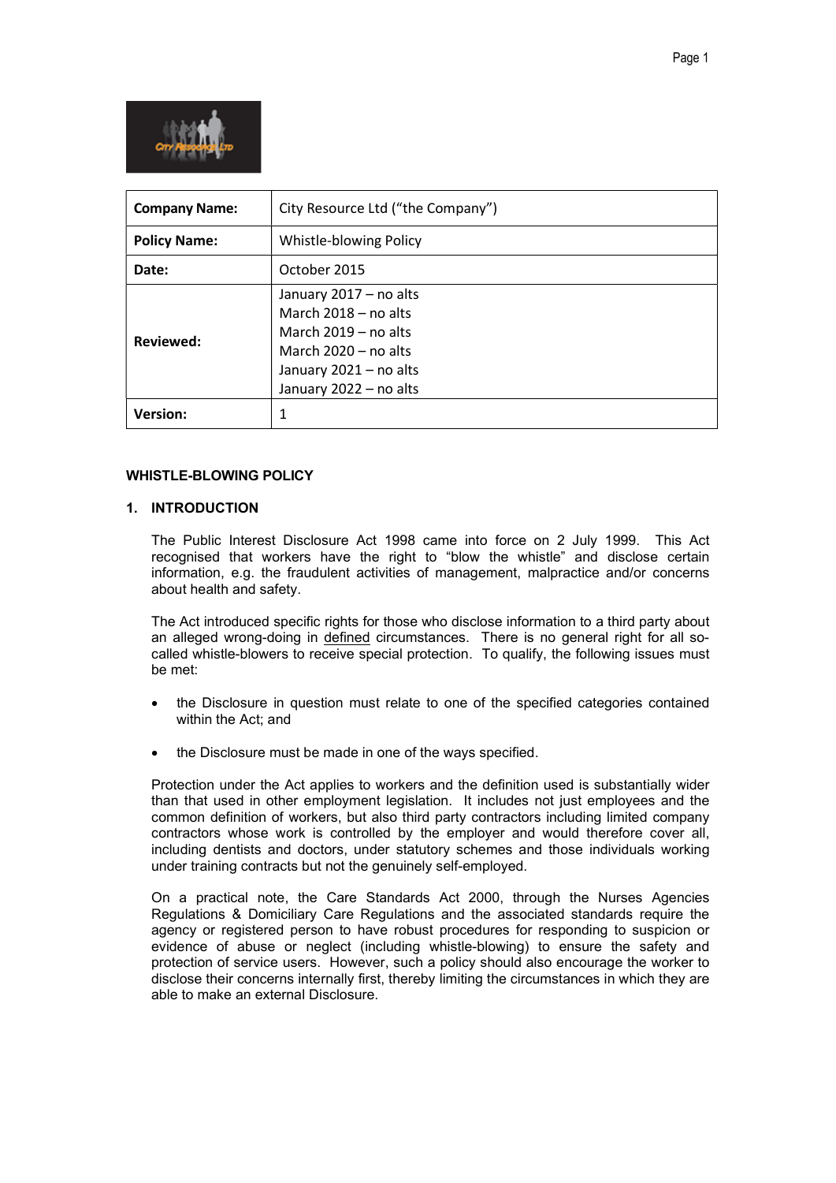



| <b>Company Name:</b> | City Resource Ltd ("the Company")                                                                                                                        |
|----------------------|----------------------------------------------------------------------------------------------------------------------------------------------------------|
| <b>Policy Name:</b>  | Whistle-blowing Policy                                                                                                                                   |
| Date:                | October 2015                                                                                                                                             |
| Reviewed:            | January 2017 - no alts<br>March $2018 - no$ alts<br>March $2019 - no$ alts<br>March $2020 - no$ alts<br>January 2021 - no alts<br>January 2022 - no alts |
| <b>Version:</b>      | 1                                                                                                                                                        |

## WHISTLE-BLOWING POLICY

#### 1. INTRODUCTION

The Public Interest Disclosure Act 1998 came into force on 2 July 1999. This Act recognised that workers have the right to "blow the whistle" and disclose certain information, e.g. the fraudulent activities of management, malpractice and/or concerns about health and safety.

The Act introduced specific rights for those who disclose information to a third party about an alleged wrong-doing in defined circumstances. There is no general right for all socalled whistle-blowers to receive special protection. To qualify, the following issues must be met:

- the Disclosure in question must relate to one of the specified categories contained within the Act; and
- the Disclosure must be made in one of the ways specified.

Protection under the Act applies to workers and the definition used is substantially wider than that used in other employment legislation. It includes not just employees and the common definition of workers, but also third party contractors including limited company contractors whose work is controlled by the employer and would therefore cover all, including dentists and doctors, under statutory schemes and those individuals working under training contracts but not the genuinely self-employed.

On a practical note, the Care Standards Act 2000, through the Nurses Agencies Regulations & Domiciliary Care Regulations and the associated standards require the agency or registered person to have robust procedures for responding to suspicion or evidence of abuse or neglect (including whistle-blowing) to ensure the safety and protection of service users. However, such a policy should also encourage the worker to disclose their concerns internally first, thereby limiting the circumstances in which they are able to make an external Disclosure.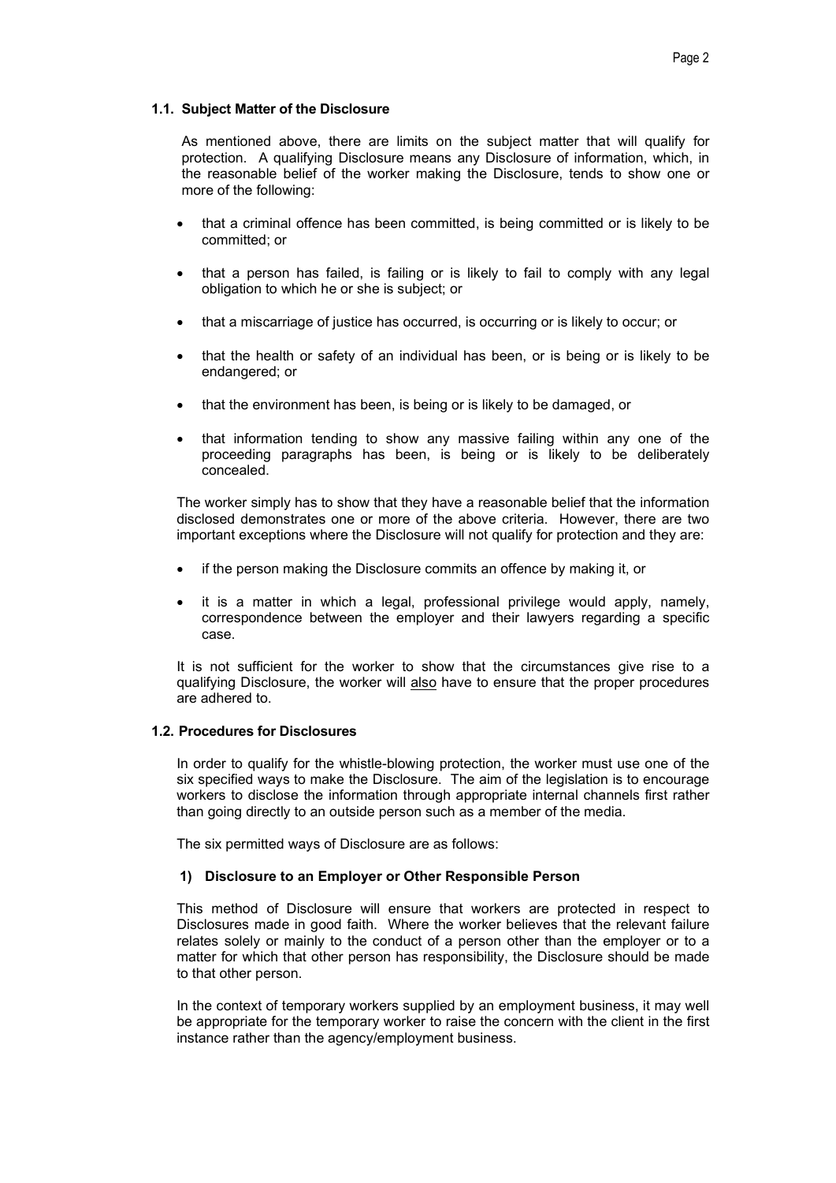### 1.1. Subject Matter of the Disclosure

As mentioned above, there are limits on the subject matter that will qualify for protection. A qualifying Disclosure means any Disclosure of information, which, in the reasonable belief of the worker making the Disclosure, tends to show one or more of the following:

- that a criminal offence has been committed, is being committed or is likely to be committed; or
- that a person has failed, is failing or is likely to fail to comply with any legal obligation to which he or she is subject; or
- that a miscarriage of justice has occurred, is occurring or is likely to occur; or
- that the health or safety of an individual has been, or is being or is likely to be endangered; or
- that the environment has been, is being or is likely to be damaged, or
- that information tending to show any massive failing within any one of the proceeding paragraphs has been, is being or is likely to be deliberately concealed.

The worker simply has to show that they have a reasonable belief that the information disclosed demonstrates one or more of the above criteria. However, there are two important exceptions where the Disclosure will not qualify for protection and they are:

- if the person making the Disclosure commits an offence by making it, or
- it is a matter in which a legal, professional privilege would apply, namely, correspondence between the employer and their lawyers regarding a specific case.

It is not sufficient for the worker to show that the circumstances give rise to a qualifying Disclosure, the worker will also have to ensure that the proper procedures are adhered to.

## 1.2. Procedures for Disclosures

In order to qualify for the whistle-blowing protection, the worker must use one of the six specified ways to make the Disclosure. The aim of the legislation is to encourage workers to disclose the information through appropriate internal channels first rather than going directly to an outside person such as a member of the media.

The six permitted ways of Disclosure are as follows:

# 1) Disclosure to an Employer or Other Responsible Person

This method of Disclosure will ensure that workers are protected in respect to Disclosures made in good faith. Where the worker believes that the relevant failure relates solely or mainly to the conduct of a person other than the employer or to a matter for which that other person has responsibility, the Disclosure should be made to that other person.

In the context of temporary workers supplied by an employment business, it may well be appropriate for the temporary worker to raise the concern with the client in the first instance rather than the agency/employment business.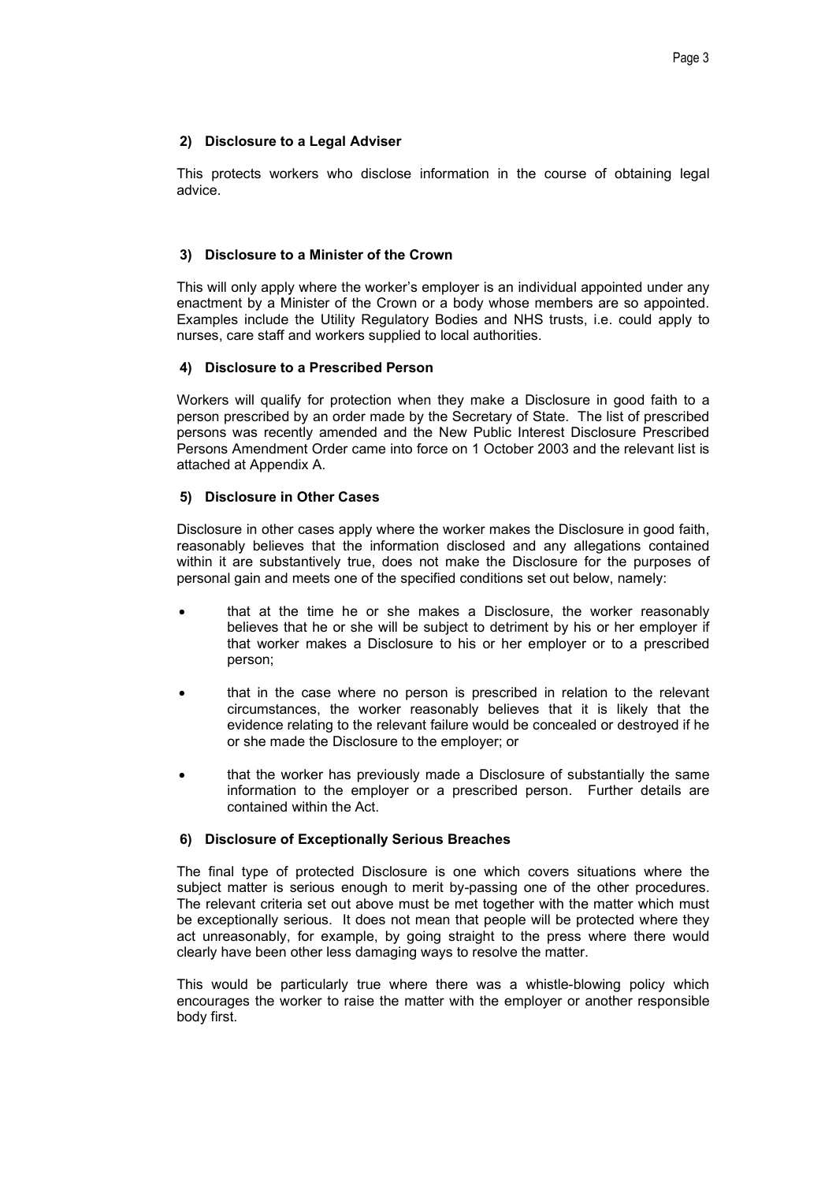# 2) Disclosure to a Legal Adviser

This protects workers who disclose information in the course of obtaining legal advice.

# 3) Disclosure to a Minister of the Crown

This will only apply where the worker's employer is an individual appointed under any enactment by a Minister of the Crown or a body whose members are so appointed. Examples include the Utility Regulatory Bodies and NHS trusts, i.e. could apply to nurses, care staff and workers supplied to local authorities.

# 4) Disclosure to a Prescribed Person

Workers will qualify for protection when they make a Disclosure in good faith to a person prescribed by an order made by the Secretary of State. The list of prescribed persons was recently amended and the New Public Interest Disclosure Prescribed Persons Amendment Order came into force on 1 October 2003 and the relevant list is attached at Appendix A.

## 5) Disclosure in Other Cases

Disclosure in other cases apply where the worker makes the Disclosure in good faith, reasonably believes that the information disclosed and any allegations contained within it are substantively true, does not make the Disclosure for the purposes of personal gain and meets one of the specified conditions set out below, namely:

- that at the time he or she makes a Disclosure, the worker reasonably believes that he or she will be subject to detriment by his or her employer if that worker makes a Disclosure to his or her employer or to a prescribed person;
- that in the case where no person is prescribed in relation to the relevant circumstances, the worker reasonably believes that it is likely that the evidence relating to the relevant failure would be concealed or destroyed if he or she made the Disclosure to the employer; or
- that the worker has previously made a Disclosure of substantially the same information to the employer or a prescribed person. Further details are contained within the Act.

## 6) Disclosure of Exceptionally Serious Breaches

The final type of protected Disclosure is one which covers situations where the subject matter is serious enough to merit by-passing one of the other procedures. The relevant criteria set out above must be met together with the matter which must be exceptionally serious. It does not mean that people will be protected where they act unreasonably, for example, by going straight to the press where there would clearly have been other less damaging ways to resolve the matter.

This would be particularly true where there was a whistle-blowing policy which encourages the worker to raise the matter with the employer or another responsible body first.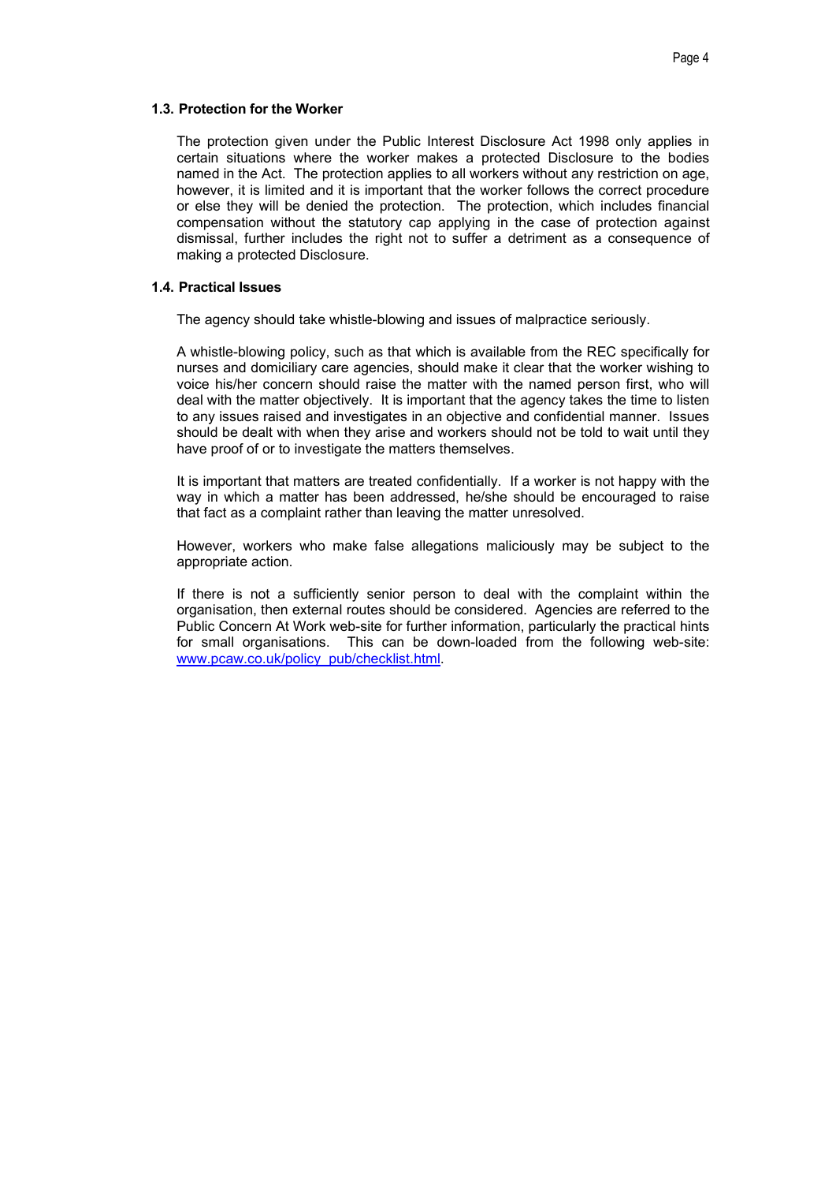#### 1.3. Protection for the Worker

The protection given under the Public Interest Disclosure Act 1998 only applies in certain situations where the worker makes a protected Disclosure to the bodies named in the Act. The protection applies to all workers without any restriction on age, however, it is limited and it is important that the worker follows the correct procedure or else they will be denied the protection. The protection, which includes financial compensation without the statutory cap applying in the case of protection against dismissal, further includes the right not to suffer a detriment as a consequence of making a protected Disclosure.

### 1.4. Practical Issues

The agency should take whistle-blowing and issues of malpractice seriously.

A whistle-blowing policy, such as that which is available from the REC specifically for nurses and domiciliary care agencies, should make it clear that the worker wishing to voice his/her concern should raise the matter with the named person first, who will deal with the matter objectively. It is important that the agency takes the time to listen to any issues raised and investigates in an objective and confidential manner. Issues should be dealt with when they arise and workers should not be told to wait until they have proof of or to investigate the matters themselves.

It is important that matters are treated confidentially. If a worker is not happy with the way in which a matter has been addressed, he/she should be encouraged to raise that fact as a complaint rather than leaving the matter unresolved.

However, workers who make false allegations maliciously may be subject to the appropriate action.

If there is not a sufficiently senior person to deal with the complaint within the organisation, then external routes should be considered. Agencies are referred to the Public Concern At Work web-site for further information, particularly the practical hints for small organisations. This can be down-loaded from the following web-site: www.pcaw.co.uk/policy\_pub/checklist.html.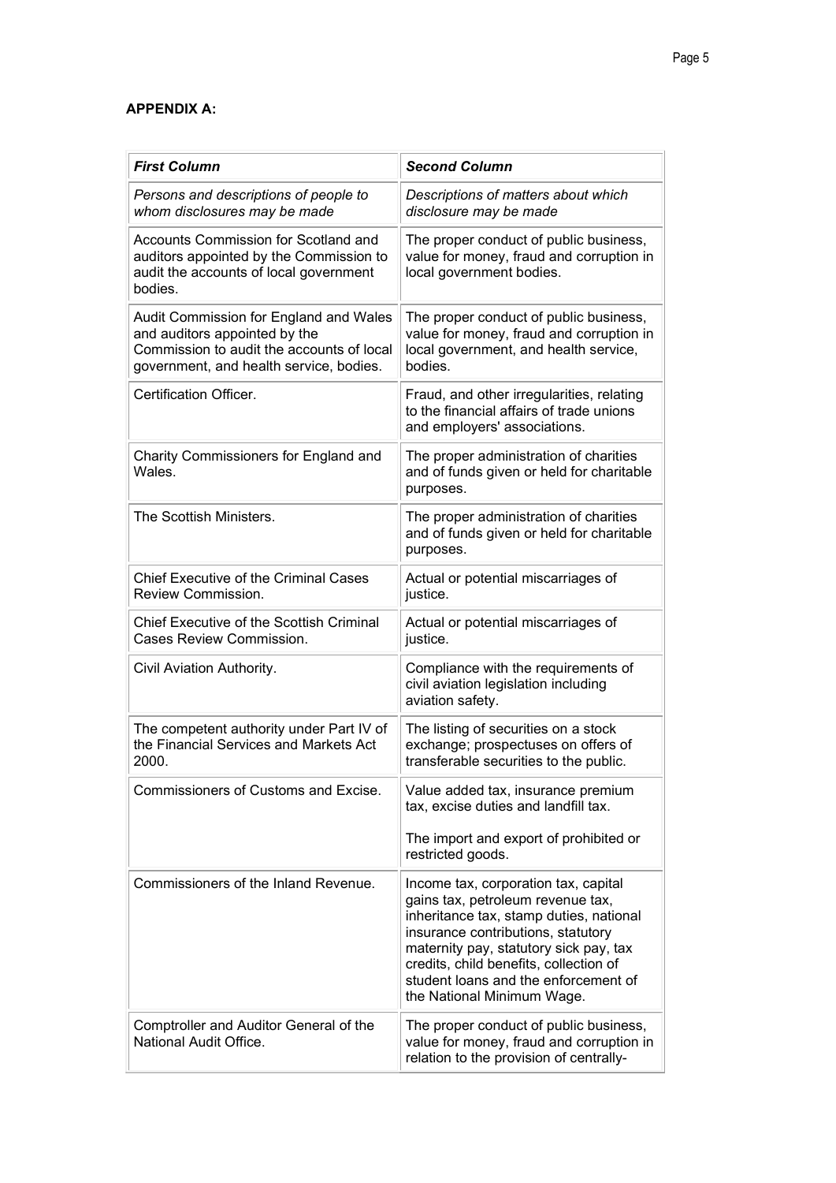# APPENDIX A:

| <b>First Column</b>                                                                                                                                             | <b>Second Column</b>                                                                                                                                                                                                                                                                                                 |
|-----------------------------------------------------------------------------------------------------------------------------------------------------------------|----------------------------------------------------------------------------------------------------------------------------------------------------------------------------------------------------------------------------------------------------------------------------------------------------------------------|
| Persons and descriptions of people to<br>whom disclosures may be made                                                                                           | Descriptions of matters about which<br>disclosure may be made                                                                                                                                                                                                                                                        |
| Accounts Commission for Scotland and<br>auditors appointed by the Commission to<br>audit the accounts of local government<br>bodies.                            | The proper conduct of public business,<br>value for money, fraud and corruption in<br>local government bodies.                                                                                                                                                                                                       |
| Audit Commission for England and Wales<br>and auditors appointed by the<br>Commission to audit the accounts of local<br>government, and health service, bodies. | The proper conduct of public business,<br>value for money, fraud and corruption in<br>local government, and health service,<br>bodies.                                                                                                                                                                               |
| Certification Officer.                                                                                                                                          | Fraud, and other irregularities, relating<br>to the financial affairs of trade unions<br>and employers' associations.                                                                                                                                                                                                |
| Charity Commissioners for England and<br>Wales.                                                                                                                 | The proper administration of charities<br>and of funds given or held for charitable<br>purposes.                                                                                                                                                                                                                     |
| The Scottish Ministers.                                                                                                                                         | The proper administration of charities<br>and of funds given or held for charitable<br>purposes.                                                                                                                                                                                                                     |
| <b>Chief Executive of the Criminal Cases</b><br>Review Commission.                                                                                              | Actual or potential miscarriages of<br>justice.                                                                                                                                                                                                                                                                      |
| <b>Chief Executive of the Scottish Criminal</b><br>Cases Review Commission.                                                                                     | Actual or potential miscarriages of<br>justice.                                                                                                                                                                                                                                                                      |
| Civil Aviation Authority.                                                                                                                                       | Compliance with the requirements of<br>civil aviation legislation including<br>aviation safety.                                                                                                                                                                                                                      |
| The competent authority under Part IV of<br>the Financial Services and Markets Act<br>2000.                                                                     | The listing of securities on a stock<br>exchange; prospectuses on offers of<br>transferable securities to the public.                                                                                                                                                                                                |
| Commissioners of Customs and Excise.                                                                                                                            | Value added tax, insurance premium<br>tax, excise duties and landfill tax.                                                                                                                                                                                                                                           |
|                                                                                                                                                                 | The import and export of prohibited or<br>restricted goods.                                                                                                                                                                                                                                                          |
| Commissioners of the Inland Revenue.                                                                                                                            | Income tax, corporation tax, capital<br>gains tax, petroleum revenue tax,<br>inheritance tax, stamp duties, national<br>insurance contributions, statutory<br>maternity pay, statutory sick pay, tax<br>credits, child benefits, collection of<br>student loans and the enforcement of<br>the National Minimum Wage. |
| Comptroller and Auditor General of the<br>National Audit Office.                                                                                                | The proper conduct of public business,<br>value for money, fraud and corruption in<br>relation to the provision of centrally-                                                                                                                                                                                        |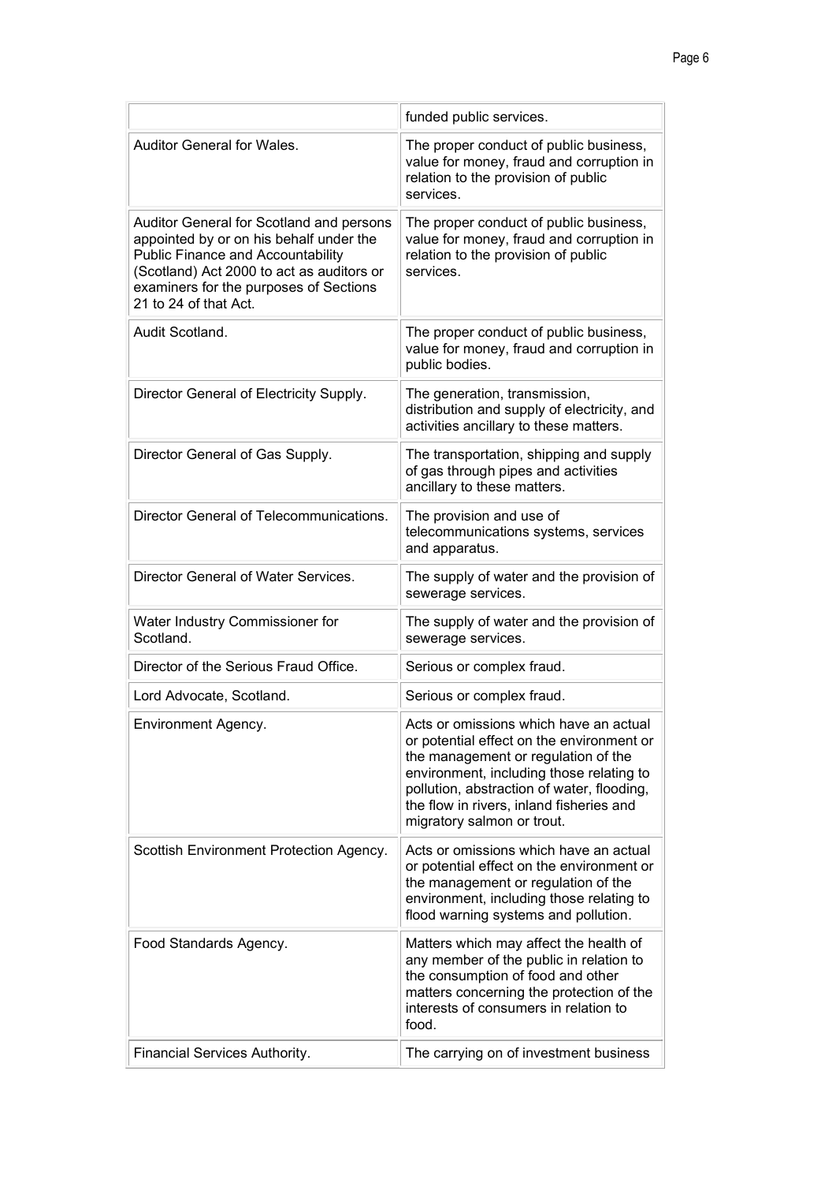|                                                                                                                                                                                                                                                 | funded public services.                                                                                                                                                                                                                                                                        |
|-------------------------------------------------------------------------------------------------------------------------------------------------------------------------------------------------------------------------------------------------|------------------------------------------------------------------------------------------------------------------------------------------------------------------------------------------------------------------------------------------------------------------------------------------------|
| Auditor General for Wales.                                                                                                                                                                                                                      | The proper conduct of public business,<br>value for money, fraud and corruption in<br>relation to the provision of public<br>services.                                                                                                                                                         |
| Auditor General for Scotland and persons<br>appointed by or on his behalf under the<br><b>Public Finance and Accountability</b><br>(Scotland) Act 2000 to act as auditors or<br>examiners for the purposes of Sections<br>21 to 24 of that Act. | The proper conduct of public business,<br>value for money, fraud and corruption in<br>relation to the provision of public<br>services.                                                                                                                                                         |
| Audit Scotland.                                                                                                                                                                                                                                 | The proper conduct of public business,<br>value for money, fraud and corruption in<br>public bodies.                                                                                                                                                                                           |
| Director General of Electricity Supply.                                                                                                                                                                                                         | The generation, transmission,<br>distribution and supply of electricity, and<br>activities ancillary to these matters.                                                                                                                                                                         |
| Director General of Gas Supply.                                                                                                                                                                                                                 | The transportation, shipping and supply<br>of gas through pipes and activities<br>ancillary to these matters.                                                                                                                                                                                  |
| Director General of Telecommunications.                                                                                                                                                                                                         | The provision and use of<br>telecommunications systems, services<br>and apparatus.                                                                                                                                                                                                             |
| Director General of Water Services.                                                                                                                                                                                                             | The supply of water and the provision of<br>sewerage services.                                                                                                                                                                                                                                 |
| Water Industry Commissioner for<br>Scotland.                                                                                                                                                                                                    | The supply of water and the provision of<br>sewerage services.                                                                                                                                                                                                                                 |
| Director of the Serious Fraud Office.                                                                                                                                                                                                           | Serious or complex fraud.                                                                                                                                                                                                                                                                      |
| Lord Advocate, Scotland.                                                                                                                                                                                                                        | Serious or complex fraud.                                                                                                                                                                                                                                                                      |
| <b>Environment Agency.</b>                                                                                                                                                                                                                      | Acts or omissions which have an actual<br>or potential effect on the environment or<br>the management or regulation of the<br>environment, including those relating to<br>pollution, abstraction of water, flooding,<br>the flow in rivers, inland fisheries and<br>migratory salmon or trout. |
| Scottish Environment Protection Agency.                                                                                                                                                                                                         | Acts or omissions which have an actual<br>or potential effect on the environment or<br>the management or regulation of the<br>environment, including those relating to<br>flood warning systems and pollution.                                                                                 |
| Food Standards Agency.                                                                                                                                                                                                                          | Matters which may affect the health of<br>any member of the public in relation to<br>the consumption of food and other<br>matters concerning the protection of the<br>interests of consumers in relation to<br>food.                                                                           |
| <b>Financial Services Authority.</b>                                                                                                                                                                                                            | The carrying on of investment business                                                                                                                                                                                                                                                         |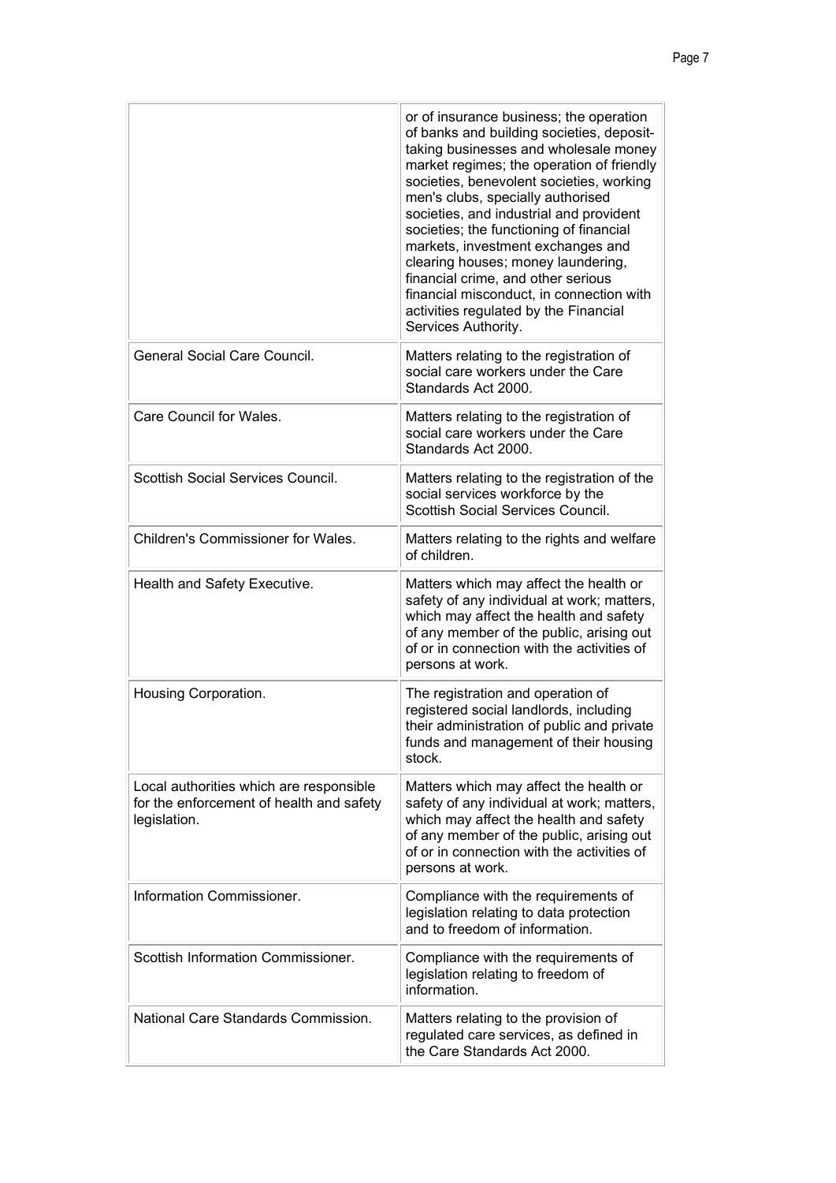|                                                                                                     | or of insurance business; the operation<br>of banks and building societies, deposit-<br>taking businesses and wholesale money<br>market regimes; the operation of friendly<br>societies, benevolent societies, working<br>men's clubs, specially authorised<br>societies, and industrial and provident<br>societies; the functioning of financial<br>markets, investment exchanges and<br>clearing houses; money laundering,<br>financial crime, and other serious<br>financial misconduct, in connection with<br>activities regulated by the Financial<br>Services Authority. |
|-----------------------------------------------------------------------------------------------------|--------------------------------------------------------------------------------------------------------------------------------------------------------------------------------------------------------------------------------------------------------------------------------------------------------------------------------------------------------------------------------------------------------------------------------------------------------------------------------------------------------------------------------------------------------------------------------|
| General Social Care Council.                                                                        | Matters relating to the registration of<br>social care workers under the Care<br>Standards Act 2000.                                                                                                                                                                                                                                                                                                                                                                                                                                                                           |
| Care Council for Wales.                                                                             | Matters relating to the registration of<br>social care workers under the Care<br>Standards Act 2000.                                                                                                                                                                                                                                                                                                                                                                                                                                                                           |
| Scottish Social Services Council.                                                                   | Matters relating to the registration of the<br>social services workforce by the<br>Scottish Social Services Council.                                                                                                                                                                                                                                                                                                                                                                                                                                                           |
| Children's Commissioner for Wales.                                                                  | Matters relating to the rights and welfare<br>of children.                                                                                                                                                                                                                                                                                                                                                                                                                                                                                                                     |
| Health and Safety Executive.                                                                        | Matters which may affect the health or<br>safety of any individual at work; matters,<br>which may affect the health and safety<br>of any member of the public, arising out<br>of or in connection with the activities of<br>persons at work.                                                                                                                                                                                                                                                                                                                                   |
| Housing Corporation.                                                                                | The registration and operation of<br>registered social landlords, including<br>their administration of public and private<br>funds and management of their housing<br>stock.                                                                                                                                                                                                                                                                                                                                                                                                   |
| Local authorities which are responsible<br>for the enforcement of health and safety<br>legislation. | Matters which may affect the health or<br>safety of any individual at work; matters,<br>which may affect the health and safety<br>of any member of the public, arising out<br>of or in connection with the activities of<br>persons at work.                                                                                                                                                                                                                                                                                                                                   |
| Information Commissioner.                                                                           | Compliance with the requirements of<br>legislation relating to data protection<br>and to freedom of information.                                                                                                                                                                                                                                                                                                                                                                                                                                                               |
| Scottish Information Commissioner.                                                                  | Compliance with the requirements of<br>legislation relating to freedom of<br>information.                                                                                                                                                                                                                                                                                                                                                                                                                                                                                      |
| National Care Standards Commission.                                                                 | Matters relating to the provision of<br>regulated care services, as defined in<br>the Care Standards Act 2000.                                                                                                                                                                                                                                                                                                                                                                                                                                                                 |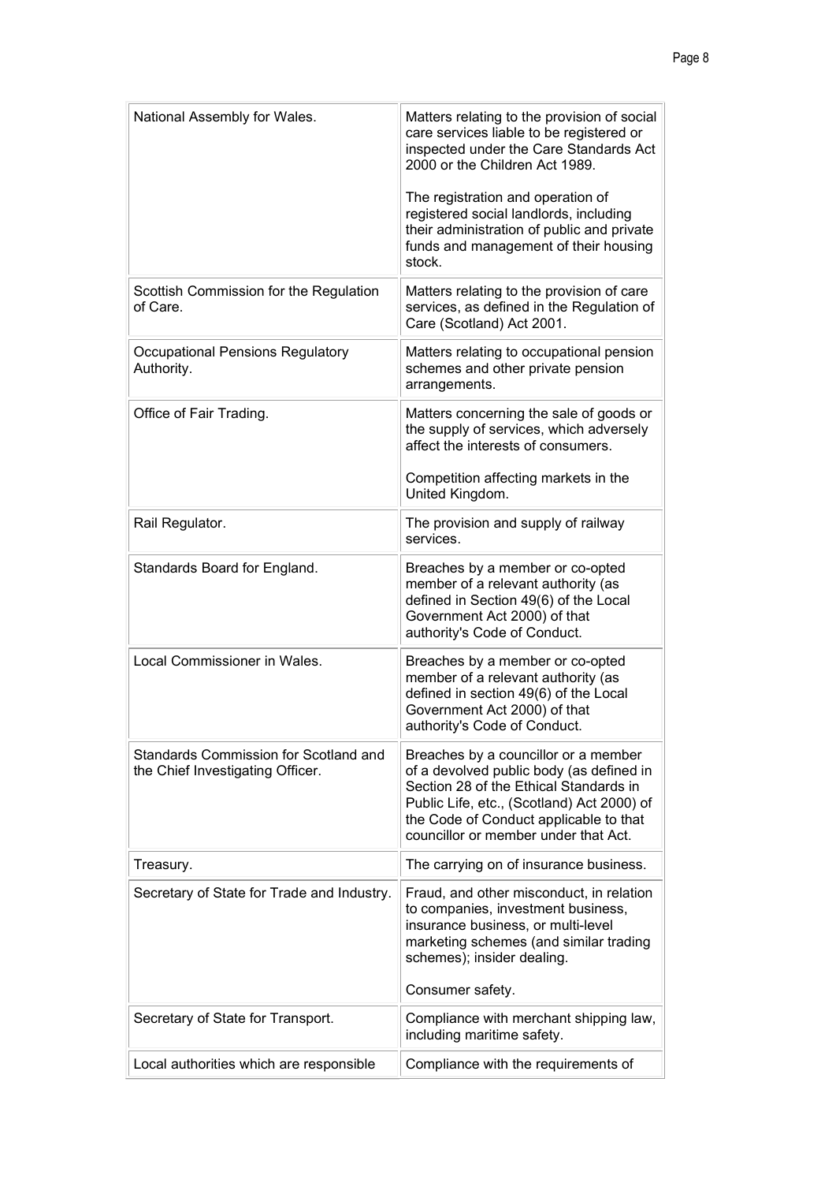| National Assembly for Wales.                                              | Matters relating to the provision of social<br>care services liable to be registered or<br>inspected under the Care Standards Act<br>2000 or the Children Act 1989.                                                                                        |
|---------------------------------------------------------------------------|------------------------------------------------------------------------------------------------------------------------------------------------------------------------------------------------------------------------------------------------------------|
|                                                                           | The registration and operation of<br>registered social landlords, including<br>their administration of public and private<br>funds and management of their housing<br>stock.                                                                               |
| Scottish Commission for the Regulation<br>of Care.                        | Matters relating to the provision of care<br>services, as defined in the Regulation of<br>Care (Scotland) Act 2001.                                                                                                                                        |
| <b>Occupational Pensions Regulatory</b><br>Authority.                     | Matters relating to occupational pension<br>schemes and other private pension<br>arrangements.                                                                                                                                                             |
| Office of Fair Trading.                                                   | Matters concerning the sale of goods or<br>the supply of services, which adversely<br>affect the interests of consumers.                                                                                                                                   |
|                                                                           | Competition affecting markets in the<br>United Kingdom.                                                                                                                                                                                                    |
| Rail Regulator.                                                           | The provision and supply of railway<br>services.                                                                                                                                                                                                           |
| Standards Board for England.                                              | Breaches by a member or co-opted<br>member of a relevant authority (as<br>defined in Section 49(6) of the Local<br>Government Act 2000) of that<br>authority's Code of Conduct.                                                                            |
| Local Commissioner in Wales.                                              | Breaches by a member or co-opted<br>member of a relevant authority (as<br>defined in section 49(6) of the Local<br>Government Act 2000) of that<br>authority's Code of Conduct.                                                                            |
| Standards Commission for Scotland and<br>the Chief Investigating Officer. | Breaches by a councillor or a member<br>of a devolved public body (as defined in<br>Section 28 of the Ethical Standards in<br>Public Life, etc., (Scotland) Act 2000) of<br>the Code of Conduct applicable to that<br>councillor or member under that Act. |
| Treasury.                                                                 | The carrying on of insurance business.                                                                                                                                                                                                                     |
| Secretary of State for Trade and Industry.                                | Fraud, and other misconduct, in relation<br>to companies, investment business,<br>insurance business, or multi-level<br>marketing schemes (and similar trading<br>schemes); insider dealing.                                                               |
|                                                                           | Consumer safety.                                                                                                                                                                                                                                           |
| Secretary of State for Transport.                                         | Compliance with merchant shipping law,<br>including maritime safety.                                                                                                                                                                                       |
| Local authorities which are responsible                                   | Compliance with the requirements of                                                                                                                                                                                                                        |